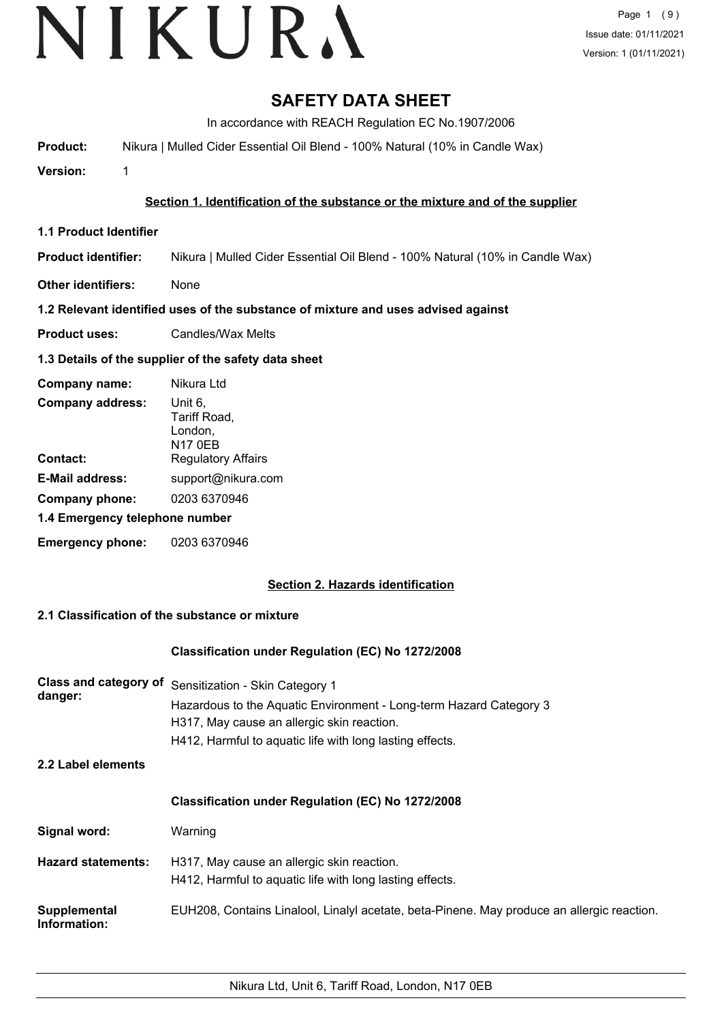### **SAFETY DATA SHEET**

In accordance with REACH Regulation EC No.1907/2006

**Product:** Nikura | Mulled Cider Essential Oil Blend - 100% Natural (10% in Candle Wax)

**Version:** 1

#### **Section 1. Identification of the substance or the mixture and of the supplier**

**1.1 Product Identifier**

**Product identifier:** Nikura | Mulled Cider Essential Oil Blend - 100% Natural (10% in Candle Wax)

**Other identifiers:** None

#### **1.2 Relevant identified uses of the substance of mixture and uses advised against**

**Product uses:** Candles/Wax Melts

#### **1.3 Details of the supplier of the safety data sheet**

| Company name:                  | Nikura Ltd                                           |
|--------------------------------|------------------------------------------------------|
| <b>Company address:</b>        | Unit 6,<br>Tariff Road,<br>London,<br><b>N17 0EB</b> |
| Contact:                       | <b>Regulatory Affairs</b>                            |
| <b>E-Mail address:</b>         | support@nikura.com                                   |
| Company phone:                 | 0203 6370946                                         |
| 1.4 Emergency telephone number |                                                      |
| <b>Emergency phone:</b>        | 0203 6370946                                         |

#### **Section 2. Hazards identification**

#### **2.1 Classification of the substance or mixture**

#### **Classification under Regulation (EC) No 1272/2008**

| Class and category of<br>danger: | Sensitization - Skin Category 1<br>Hazardous to the Aquatic Environment - Long-term Hazard Category 3<br>H317, May cause an allergic skin reaction.<br>H412, Harmful to aquatic life with long lasting effects. |
|----------------------------------|-----------------------------------------------------------------------------------------------------------------------------------------------------------------------------------------------------------------|
| 2.2 Label elements               |                                                                                                                                                                                                                 |
|                                  | <b>Classification under Regulation (EC) No 1272/2008</b>                                                                                                                                                        |
| Signal word:                     | Warning                                                                                                                                                                                                         |
| <b>Hazard statements:</b>        | H317, May cause an allergic skin reaction.<br>H412, Harmful to aquatic life with long lasting effects.                                                                                                          |
| Supplemental<br>Information:     | EUH208, Contains Linalool, Linalyl acetate, beta-Pinene. May produce an allergic reaction.                                                                                                                      |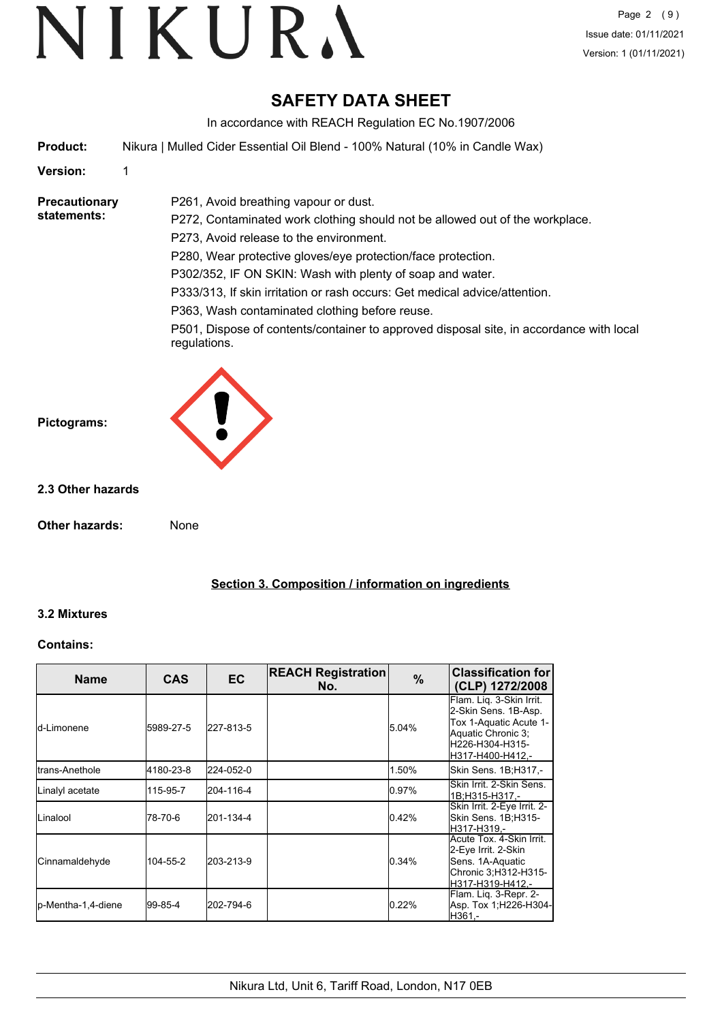### **SAFETY DATA SHEET**

In accordance with REACH Regulation EC No.1907/2006

**Product:** Nikura | Mulled Cider Essential Oil Blend - 100% Natural (10% in Candle Wax)

P261, Avoid breathing vapour or dust.

**Version:** 1

**Precautionary statements:**

P272, Contaminated work clothing should not be allowed out of the workplace. P273, Avoid release to the environment. P280, Wear protective gloves/eye protection/face protection. P302/352, IF ON SKIN: Wash with plenty of soap and water. P333/313, If skin irritation or rash occurs: Get medical advice/attention.

P363, Wash contaminated clothing before reuse.

P501, Dispose of contents/container to approved disposal site, in accordance with local regulations.



#### **2.3 Other hazards**

**Other hazards:** None

**Section 3. Composition / information on ingredients**

#### **3.2 Mixtures**

#### **Contains:**

| Name                    | <b>CAS</b> | <b>EC</b> | <b>REACH Registration</b><br>No. | $\%$  | <b>Classification for</b><br>(CLP) 1272/2008                                                                                            |
|-------------------------|------------|-----------|----------------------------------|-------|-----------------------------------------------------------------------------------------------------------------------------------------|
| ld-Limonene             | 5989-27-5  | 227-813-5 |                                  | 5.04% | Flam. Lig. 3-Skin Irrit.<br>2-Skin Sens. 1B-Asp.<br>Tox 1-Aquatic Acute 1-<br>Aquatic Chronic 3;<br>H226-H304-H315-<br>H317-H400-H412.- |
| <b>I</b> trans-Anethole | 4180-23-8  | 224-052-0 |                                  | 1.50% | Skin Sens. 1B;H317,-                                                                                                                    |
| Linalyl acetate         | 115-95-7   | 204-116-4 |                                  | 0.97% | Skin Irrit, 2-Skin Sens.<br>1B;H315-H317.-                                                                                              |
| Linalool                | 78-70-6    | 201-134-4 |                                  | 0.42% | Skin Irrit. 2-Eye Irrit. 2-<br>Skin Sens. 1B;H315-<br>lH317-H319.-                                                                      |
| Cinnamaldehyde          | 104-55-2   | 203-213-9 |                                  | 0.34% | Acute Tox, 4-Skin Irrit.<br>2-Eye Irrit. 2-Skin<br>Sens. 1A-Aquatic<br>Chronic 3; H312-H315-<br>H317-H319-H412.-                        |
| p-Mentha-1,4-diene      | 99-85-4    | 202-794-6 |                                  | 0.22% | Flam. Lig. 3-Repr. 2-<br>Asp. Tox 1;H226-H304-<br>H361.-                                                                                |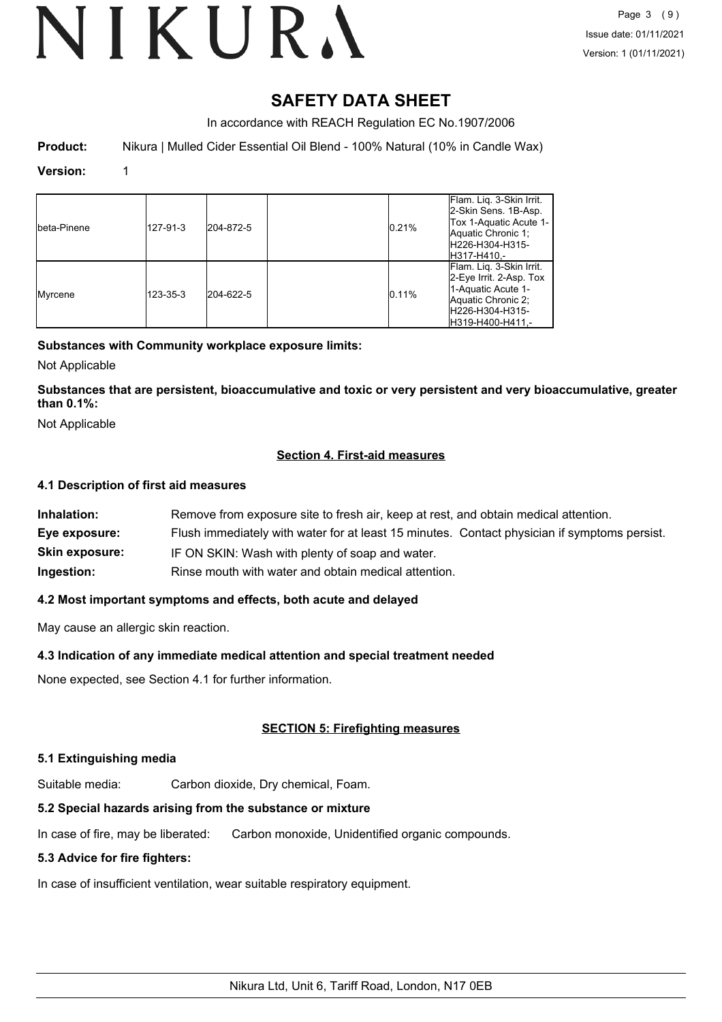# VIKURA

### **SAFETY DATA SHEET**

In accordance with REACH Regulation EC No.1907/2006

**Product:** Nikura | Mulled Cider Essential Oil Blend - 100% Natural (10% in Candle Wax)

#### **Version:** 1

| Ibeta-Pinene | 127-91-3 | 204-872-5 | 0.21% | Flam. Lig. 3-Skin Irrit.<br>2-Skin Sens. 1B-Asp.<br>Tox 1-Aquatic Acute 1-<br>Aquatic Chronic 1:<br>H226-H304-H315-<br>H317-H410.-      |
|--------------|----------|-----------|-------|-----------------------------------------------------------------------------------------------------------------------------------------|
| Myrcene      | 123-35-3 | 204-622-5 | 0.11% | Flam. Lig. 3-Skin Irrit.<br>2-Eye Irrit. 2-Asp. Tox<br>1-Aquatic Acute 1-<br>Aquatic Chronic 2;<br>H226-H304-H315-<br>IH319-H400-H411.- |

#### **Substances with Community workplace exposure limits:**

Not Applicable

**Substances that are persistent, bioaccumulative and toxic or very persistent and very bioaccumulative, greater than 0.1%:**

Not Applicable

#### **Section 4. First-aid measures**

#### **4.1 Description of first aid measures**

| Inhalation:           | Remove from exposure site to fresh air, keep at rest, and obtain medical attention.          |
|-----------------------|----------------------------------------------------------------------------------------------|
| Eye exposure:         | Flush immediately with water for at least 15 minutes. Contact physician if symptoms persist. |
| <b>Skin exposure:</b> | IF ON SKIN: Wash with plenty of soap and water.                                              |
| Ingestion:            | Rinse mouth with water and obtain medical attention.                                         |

#### **4.2 Most important symptoms and effects, both acute and delayed**

May cause an allergic skin reaction.

#### **4.3 Indication of any immediate medical attention and special treatment needed**

None expected, see Section 4.1 for further information.

#### **SECTION 5: Firefighting measures**

#### **5.1 Extinguishing media**

Suitable media: Carbon dioxide, Dry chemical, Foam.

#### **5.2 Special hazards arising from the substance or mixture**

In case of fire, may be liberated: Carbon monoxide, Unidentified organic compounds.

#### **5.3 Advice for fire fighters:**

In case of insufficient ventilation, wear suitable respiratory equipment.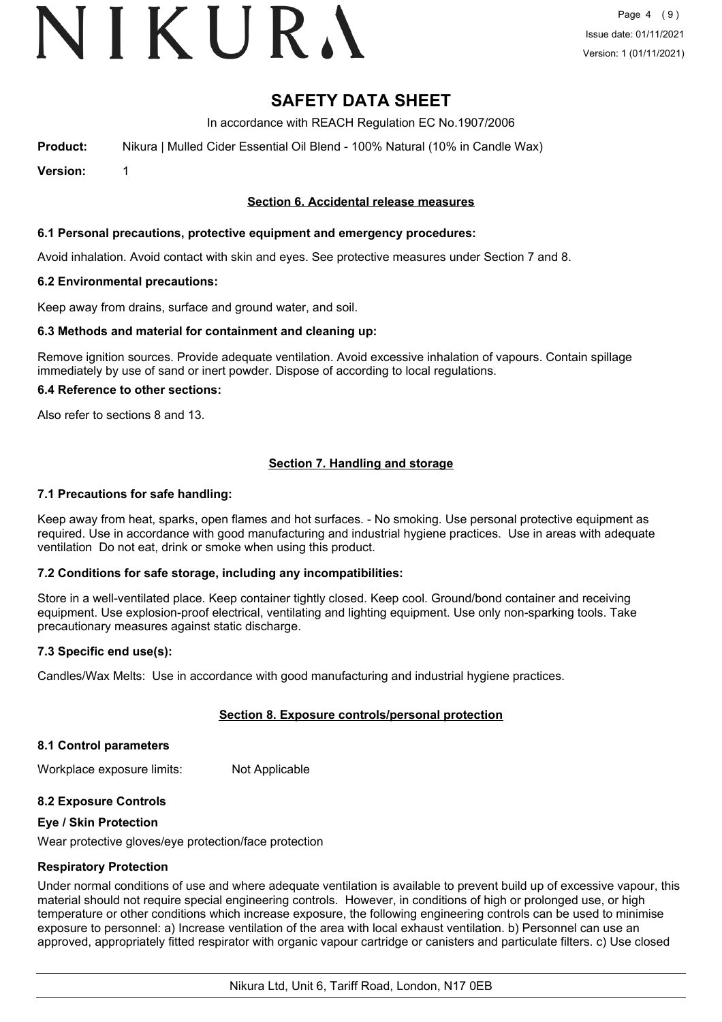## VIKURA

### **SAFETY DATA SHEET**

In accordance with REACH Regulation EC No.1907/2006

**Product:** Nikura | Mulled Cider Essential Oil Blend - 100% Natural (10% in Candle Wax)

**Version:** 1

#### **Section 6. Accidental release measures**

#### **6.1 Personal precautions, protective equipment and emergency procedures:**

Avoid inhalation. Avoid contact with skin and eyes. See protective measures under Section 7 and 8.

#### **6.2 Environmental precautions:**

Keep away from drains, surface and ground water, and soil.

#### **6.3 Methods and material for containment and cleaning up:**

Remove ignition sources. Provide adequate ventilation. Avoid excessive inhalation of vapours. Contain spillage immediately by use of sand or inert powder. Dispose of according to local regulations.

#### **6.4 Reference to other sections:**

Also refer to sections 8 and 13.

#### **Section 7. Handling and storage**

#### **7.1 Precautions for safe handling:**

Keep away from heat, sparks, open flames and hot surfaces. - No smoking. Use personal protective equipment as required. Use in accordance with good manufacturing and industrial hygiene practices. Use in areas with adequate ventilation Do not eat, drink or smoke when using this product.

#### **7.2 Conditions for safe storage, including any incompatibilities:**

Store in a well-ventilated place. Keep container tightly closed. Keep cool. Ground/bond container and receiving equipment. Use explosion-proof electrical, ventilating and lighting equipment. Use only non-sparking tools. Take precautionary measures against static discharge.

#### **7.3 Specific end use(s):**

Candles/Wax Melts: Use in accordance with good manufacturing and industrial hygiene practices.

#### **Section 8. Exposure controls/personal protection**

#### **8.1 Control parameters**

Workplace exposure limits: Not Applicable

#### **8.2 Exposure Controls**

#### **Eye / Skin Protection**

Wear protective gloves/eye protection/face protection

#### **Respiratory Protection**

Under normal conditions of use and where adequate ventilation is available to prevent build up of excessive vapour, this material should not require special engineering controls. However, in conditions of high or prolonged use, or high temperature or other conditions which increase exposure, the following engineering controls can be used to minimise exposure to personnel: a) Increase ventilation of the area with local exhaust ventilation. b) Personnel can use an approved, appropriately fitted respirator with organic vapour cartridge or canisters and particulate filters. c) Use closed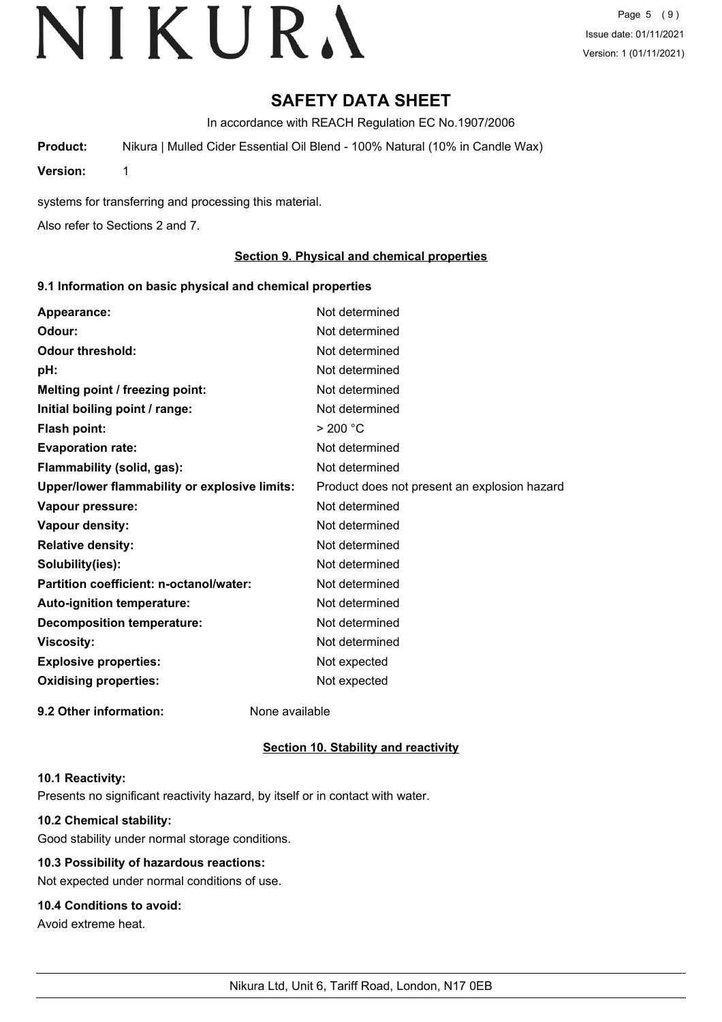Page 5 (9) Issue date: 01/11/2021 Version: 1 (01/11/2021)

### **SAFETY DATA SHEET**

In accordance with REACH Regulation EC No.1907/2006

**Product:** Nikura | Mulled Cider Essential Oil Blend - 100% Natural (10% in Candle Wax)

**Version:** 1

systems for transferring and processing this material.

Also refer to Sections 2 and 7.

#### **Section 9. Physical and chemical properties**

#### **9.1 Information on basic physical and chemical properties**

| Appearance:                                   | Not determined                               |
|-----------------------------------------------|----------------------------------------------|
| Odour:                                        | Not determined                               |
| <b>Odour threshold:</b>                       | Not determined                               |
| pH:                                           | Not determined                               |
| Melting point / freezing point:               | Not determined                               |
| Initial boiling point / range:                | Not determined                               |
| <b>Flash point:</b>                           | > 200 °C                                     |
| <b>Evaporation rate:</b>                      | Not determined                               |
| Flammability (solid, gas):                    | Not determined                               |
| Upper/lower flammability or explosive limits: | Product does not present an explosion hazard |
| Vapour pressure:                              | Not determined                               |
| Vapour density:                               | Not determined                               |
| <b>Relative density:</b>                      | Not determined                               |
| Solubility(ies):                              | Not determined                               |
| Partition coefficient: n-octanol/water:       | Not determined                               |
| <b>Auto-ignition temperature:</b>             | Not determined                               |
| <b>Decomposition temperature:</b>             | Not determined                               |
| <b>Viscosity:</b>                             | Not determined                               |
| <b>Explosive properties:</b>                  | Not expected                                 |
| <b>Oxidising properties:</b>                  | Not expected                                 |
| 9.2 Other information:                        | None available                               |

#### **Section 10. Stability and reactivity**

#### **10.1 Reactivity:**

Presents no significant reactivity hazard, by itself or in contact with water.

#### **10.2 Chemical stability:**

Good stability under normal storage conditions.

#### **10.3 Possibility of hazardous reactions:**

Not expected under normal conditions of use.

#### **10.4 Conditions to avoid:**

Avoid extreme heat.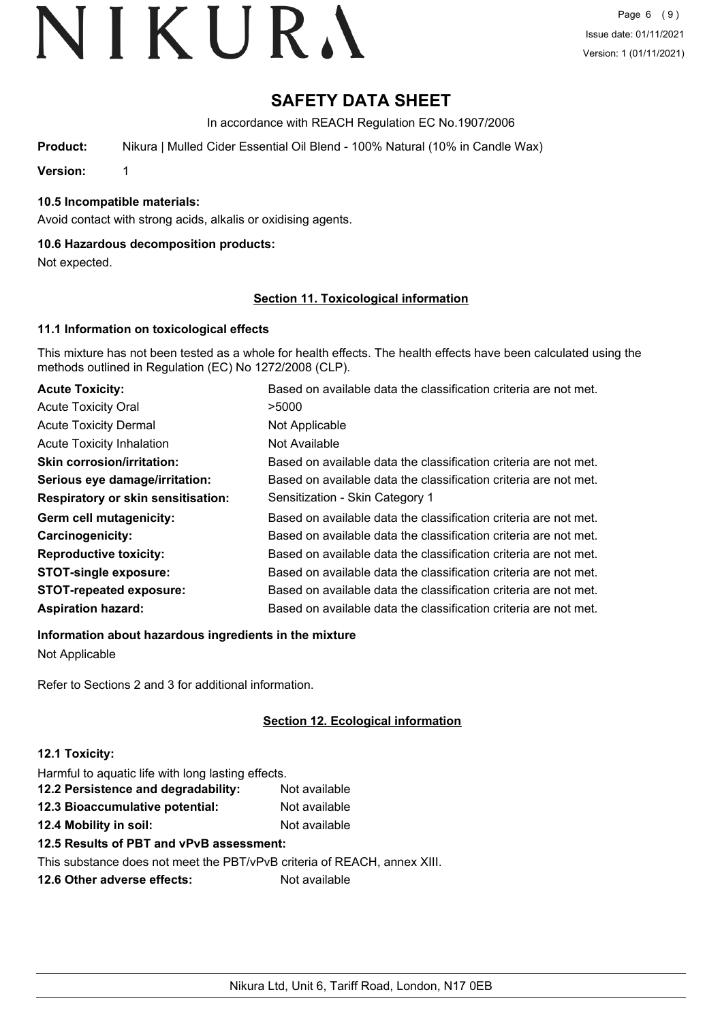### **SAFETY DATA SHEET**

In accordance with REACH Regulation EC No.1907/2006

**Product:** Nikura | Mulled Cider Essential Oil Blend - 100% Natural (10% in Candle Wax)

**Version:** 1

#### **10.5 Incompatible materials:**

Avoid contact with strong acids, alkalis or oxidising agents.

#### **10.6 Hazardous decomposition products:**

Not expected.

#### **Section 11. Toxicological information**

#### **11.1 Information on toxicological effects**

This mixture has not been tested as a whole for health effects. The health effects have been calculated using the methods outlined in Regulation (EC) No 1272/2008 (CLP).

| <b>Acute Toxicity:</b>                    | Based on available data the classification criteria are not met. |
|-------------------------------------------|------------------------------------------------------------------|
| <b>Acute Toxicity Oral</b>                | >5000                                                            |
| <b>Acute Toxicity Dermal</b>              | Not Applicable                                                   |
| <b>Acute Toxicity Inhalation</b>          | Not Available                                                    |
| <b>Skin corrosion/irritation:</b>         | Based on available data the classification criteria are not met. |
| Serious eye damage/irritation:            | Based on available data the classification criteria are not met. |
| <b>Respiratory or skin sensitisation:</b> | Sensitization - Skin Category 1                                  |
| Germ cell mutagenicity:                   | Based on available data the classification criteria are not met. |
| Carcinogenicity:                          | Based on available data the classification criteria are not met. |
| <b>Reproductive toxicity:</b>             | Based on available data the classification criteria are not met. |
| <b>STOT-single exposure:</b>              | Based on available data the classification criteria are not met. |
| <b>STOT-repeated exposure:</b>            | Based on available data the classification criteria are not met. |
| <b>Aspiration hazard:</b>                 | Based on available data the classification criteria are not met. |

**Information about hazardous ingredients in the mixture**

Not Applicable

Refer to Sections 2 and 3 for additional information.

#### **Section 12. Ecological information**

#### **12.1 Toxicity:**

Harmful to aquatic life with long lasting effects.

| 12.2 Persistence and degradability: | Not available |
|-------------------------------------|---------------|
| 12.3 Bioaccumulative potential:     | Not available |
| 12.4 Mobility in soil:              | Not available |

**12.5 Results of PBT and vPvB assessment:**

This substance does not meet the PBT/vPvB criteria of REACH, annex XIII.

**12.6 Other adverse effects:** Not available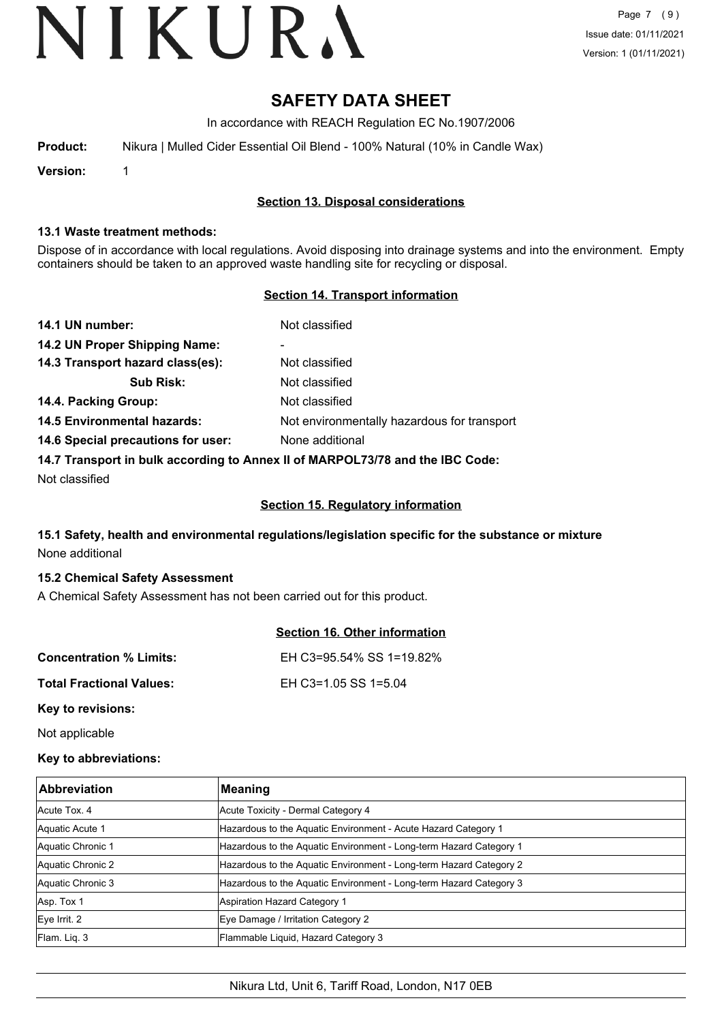Page 7 (9) Issue date: 01/11/2021 Version: 1 (01/11/2021)

### **SAFETY DATA SHEET**

In accordance with REACH Regulation EC No.1907/2006

**Product:** Nikura | Mulled Cider Essential Oil Blend - 100% Natural (10% in Candle Wax)

**Version:** 1

#### **Section 13. Disposal considerations**

#### **13.1 Waste treatment methods:**

Dispose of in accordance with local regulations. Avoid disposing into drainage systems and into the environment. Empty containers should be taken to an approved waste handling site for recycling or disposal.

#### **Section 14. Transport information**

| 14.1 UN number:                                                               | Not classified                              |
|-------------------------------------------------------------------------------|---------------------------------------------|
| 14.2 UN Proper Shipping Name:                                                 | ۰                                           |
| 14.3 Transport hazard class(es):                                              | Not classified                              |
| <b>Sub Risk:</b>                                                              | Not classified                              |
| 14.4. Packing Group:                                                          | Not classified                              |
| <b>14.5 Environmental hazards:</b>                                            | Not environmentally hazardous for transport |
| 14.6 Special precautions for user:                                            | None additional                             |
| 14.7 Transport in bulk according to Annex II of MARPOL73/78 and the IBC Code: |                                             |

Not classified

#### **Section 15. Regulatory information**

#### **15.1 Safety, health and environmental regulations/legislation specific for the substance or mixture** None additional

#### **15.2 Chemical Safety Assessment**

A Chemical Safety Assessment has not been carried out for this product.

|                                 | Section 16. Other information |
|---------------------------------|-------------------------------|
| <b>Concentration % Limits:</b>  | EH C3=95.54% SS 1=19.82%      |
| <b>Total Fractional Values:</b> | EH C3=1.05 SS 1=5.04          |
| Key to revisions:               |                               |

Not applicable

#### **Key to abbreviations:**

| <b>Abbreviation</b> | <b>Meaning</b>                                                     |
|---------------------|--------------------------------------------------------------------|
| Acute Tox, 4        | Acute Toxicity - Dermal Category 4                                 |
| Aquatic Acute 1     | Hazardous to the Aquatic Environment - Acute Hazard Category 1     |
| Aquatic Chronic 1   | Hazardous to the Aquatic Environment - Long-term Hazard Category 1 |
| Aquatic Chronic 2   | Hazardous to the Aquatic Environment - Long-term Hazard Category 2 |
| Aquatic Chronic 3   | Hazardous to the Aquatic Environment - Long-term Hazard Category 3 |
| Asp. Tox 1          | <b>Aspiration Hazard Category 1</b>                                |
| Eve Irrit. 2        | Eye Damage / Irritation Category 2                                 |
| Flam. Liq. 3        | Flammable Liquid, Hazard Category 3                                |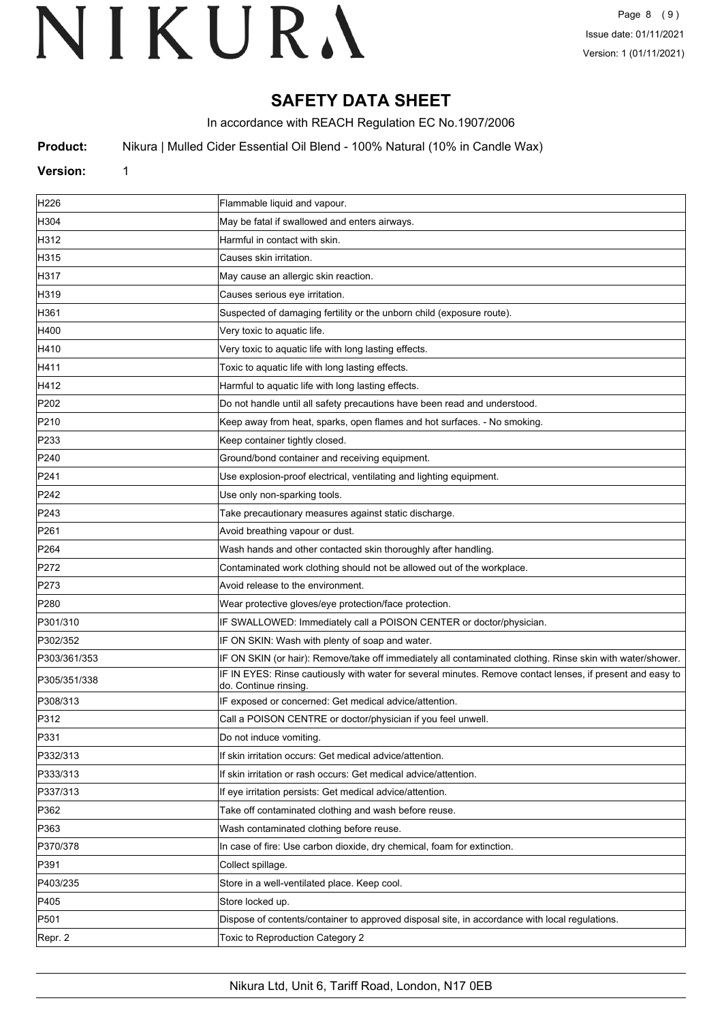### **SAFETY DATA SHEET**

In accordance with REACH Regulation EC No.1907/2006

**Product:** Nikura | Mulled Cider Essential Oil Blend - 100% Natural (10% in Candle Wax)

#### **Version:** 1

| H226             | Flammable liquid and vapour.                                                                                                        |
|------------------|-------------------------------------------------------------------------------------------------------------------------------------|
| H304             | May be fatal if swallowed and enters airways.                                                                                       |
| H312             | Harmful in contact with skin.                                                                                                       |
| H315             | Causes skin irritation.                                                                                                             |
| H317             | May cause an allergic skin reaction.                                                                                                |
| H319             | Causes serious eye irritation.                                                                                                      |
| H361             | Suspected of damaging fertility or the unborn child (exposure route).                                                               |
| H400             | Very toxic to aquatic life.                                                                                                         |
| H410             | Very toxic to aquatic life with long lasting effects.                                                                               |
| H411             | Toxic to aquatic life with long lasting effects.                                                                                    |
| H412             | Harmful to aquatic life with long lasting effects.                                                                                  |
| P202             | Do not handle until all safety precautions have been read and understood.                                                           |
| P210             | Keep away from heat, sparks, open flames and hot surfaces. - No smoking.                                                            |
| P233             | Keep container tightly closed.                                                                                                      |
| P240             | Ground/bond container and receiving equipment.                                                                                      |
| P241             | Use explosion-proof electrical, ventilating and lighting equipment.                                                                 |
| P242             | Use only non-sparking tools.                                                                                                        |
| P243             | Take precautionary measures against static discharge.                                                                               |
| P261             | Avoid breathing vapour or dust.                                                                                                     |
| P <sub>264</sub> | Wash hands and other contacted skin thoroughly after handling.                                                                      |
| P272             | Contaminated work clothing should not be allowed out of the workplace.                                                              |
| P273             | Avoid release to the environment.                                                                                                   |
| P280             | Wear protective gloves/eye protection/face protection.                                                                              |
| P301/310         | IF SWALLOWED: Immediately call a POISON CENTER or doctor/physician.                                                                 |
| P302/352         | IF ON SKIN: Wash with plenty of soap and water.                                                                                     |
| P303/361/353     | IF ON SKIN (or hair): Remove/take off immediately all contaminated clothing. Rinse skin with water/shower.                          |
| P305/351/338     | IF IN EYES: Rinse cautiously with water for several minutes. Remove contact lenses, if present and easy to<br>do. Continue rinsing. |
| P308/313         | IF exposed or concerned: Get medical advice/attention.                                                                              |
| P312             | Call a POISON CENTRE or doctor/physician if you feel unwell.                                                                        |
| P331             | Do not induce vomiting.                                                                                                             |
| P332/313         | If skin irritation occurs: Get medical advice/attention.                                                                            |
| P333/313         | If skin irritation or rash occurs: Get medical advice/attention.                                                                    |
| P337/313         | If eye irritation persists: Get medical advice/attention.                                                                           |
| P362             | Take off contaminated clothing and wash before reuse.                                                                               |
| P363             | Wash contaminated clothing before reuse.                                                                                            |
| P370/378         | In case of fire: Use carbon dioxide, dry chemical, foam for extinction.                                                             |
| P391             | Collect spillage.                                                                                                                   |
| P403/235         | Store in a well-ventilated place. Keep cool.                                                                                        |
| P405             | Store locked up.                                                                                                                    |
| P501             | Dispose of contents/container to approved disposal site, in accordance with local regulations.                                      |
| Repr. 2          | Toxic to Reproduction Category 2                                                                                                    |